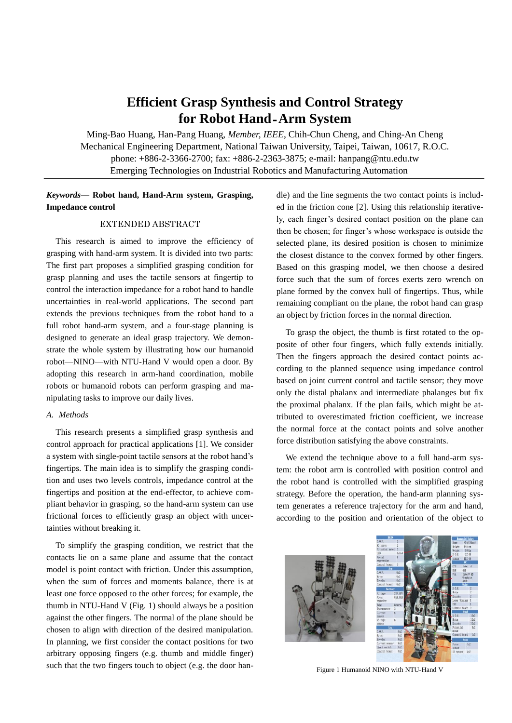# **Efficient Grasp Synthesis and Control Strategy for Robot Hand**-**Arm System**

Ming-Bao Huang, Han-Pang Huang, *Member, IEEE*, Chih-Chun Cheng, and Ching-An Cheng Mechanical Engineering Department, National Taiwan University, Taipei, Taiwan, 10617, R.O.C. phone: +886-2-3366-2700; fax: +886-2-2363-3875; e-mail: [hanpang@ntu.edu.tw](mailto:hanpang@ntu.edu.tw) Emerging Technologies on Industrial Robotics and Manufacturing Automation

# *Keywords*— **Robot hand, Hand-Arm system, Grasping, Impedance control**

## EXTENDED ABSTRACT

This research is aimed to improve the efficiency of grasping with hand-arm system. It is divided into two parts: The first part proposes a simplified grasping condition for grasp planning and uses the tactile sensors at fingertip to control the interaction impedance for a robot hand to handle uncertainties in real-world applications. The second part extends the previous techniques from the robot hand to a full robot hand-arm system, and a four-stage planning is designed to generate an ideal grasp trajectory. We demonstrate the whole system by illustrating how our humanoid robot—NINO—with NTU-Hand V would open a door. By adopting this research in arm-hand coordination, mobile robots or humanoid robots can perform grasping and manipulating tasks to improve our daily lives.

## *A. Methods*

This research presents a simplified grasp synthesis and control approach for practical applications [1]. We consider a system with single-point tactile sensors at the robot hand's fingertips. The main idea is to simplify the grasping condition and uses two levels controls, impedance control at the fingertips and position at the end-effector, to achieve compliant behavior in grasping, so the hand-arm system can use frictional forces to efficiently grasp an object with uncertainties without breaking it.

To simplify the grasping condition, we restrict that the contacts lie on a same plane and assume that the contact model is point contact with friction. Under this assumption, when the sum of forces and moments balance, there is at least one force opposed to the other forces; for example, the thumb in NTU-Hand V (Fig. 1) should always be a position against the other fingers. The normal of the plane should be chosen to align with direction of the desired manipulation. In planning, we first consider the contact positions for two arbitrary opposing fingers (e.g. thumb and middle finger) such that the two fingers touch to object (e.g. the door handle) and the line segments the two contact points is included in the friction cone [2]. Using this relationship iteratively, each finger's desired contact position on the plane can then be chosen; for finger's whose workspace is outside the selected plane, its desired position is chosen to minimize the closest distance to the convex formed by other fingers. Based on this grasping model, we then choose a desired force such that the sum of forces exerts zero wrench on plane formed by the convex hull of fingertips. Thus, while remaining compliant on the plane, the robot hand can grasp an object by friction forces in the normal direction.

To grasp the object, the thumb is first rotated to the opposite of other four fingers, which fully extends initially. Then the fingers approach the desired contact points according to the planned sequence using impedance control based on joint current control and tactile sensor; they move only the distal phalanx and intermediate phalanges but fix the proximal phalanx. If the plan fails, which might be attributed to overestimated friction coefficient, we increase the normal force at the contact points and solve another force distribution satisfying the above constraints.

We extend the technique above to a full hand-arm system: the robot arm is controlled with position control and the robot hand is controlled with the simplified grasping strategy. Before the operation, the hand-arm planning system generates a reference trajectory for the arm and hand, according to the position and orientation of the object to





Figure 1 Humanoid NINO with NTU-Hand V